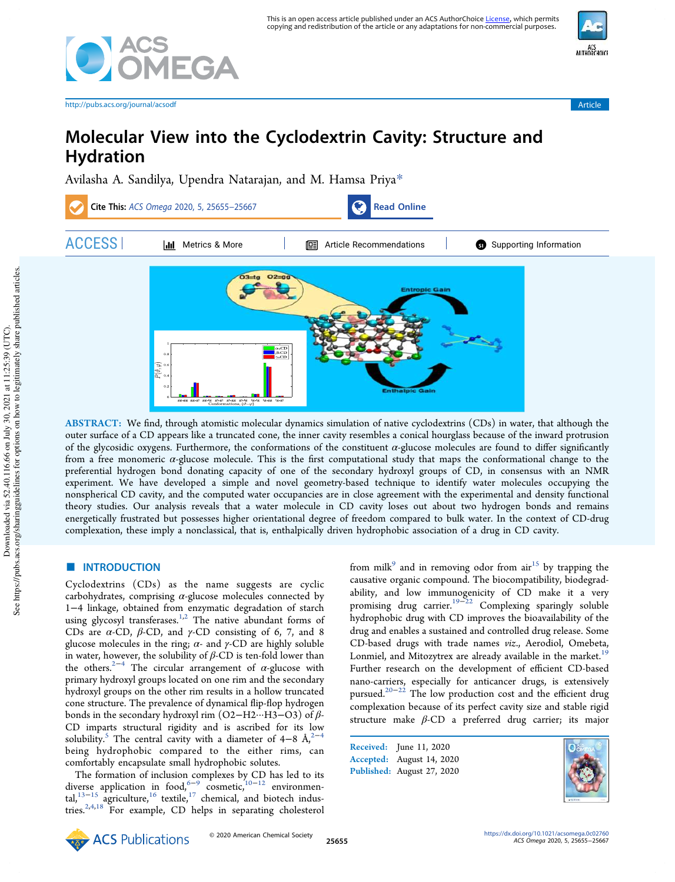



http://pubs.acs.org/journal/acsodf Article

# Molecular View into the Cyclodextrin Cavity: Structure and Hydration

Avilasha A. Sandilya, Upendra Natarajan, and M. Hamsa Priya\*



ABSTRACT: We find, through atomistic molecular dynamics simulation of native cyclodextrins (CDs) in water, that although the outer surface of a CD appears like a truncated cone, the inner cavity resembles a conical hourglass because of the inward protrusion of the glycosidic oxygens. Furthermore, the conformations of the constituent  $\alpha$ -glucose molecules are found to differ significantly from a free monomeric  $\alpha$ -glucose molecule. This is the first computational study that maps the conformational change to the preferential hydrogen bond donating capacity of one of the secondary hydroxyl groups of CD, in consensus with an NMR experiment. We have developed a simple and novel geometry-based technique to identify water molecules occupying the nonspherical CD cavity, and the computed water occupancies are in close agreement with the experimental and density functional theory studies. Our analysis reveals that a water molecule in CD cavity loses out about two hydrogen bonds and remains energetically frustrated but possesses higher orientational degree of freedom compared to bulk water. In the context of CD-drug complexation, these imply a nonclassical, that is, enthalpically driven hydrophobic association of a drug in CD cavity.

# **INTRODUCTION**

Cyclodextrins (CDs) as the name suggests are cyclic carbohydrates, comprising  $\alpha$ -glucose molecules connected by 1−4 linkage, obtained from enzymatic degradation of starch using glycosyl transferases.<sup>1,2</sup> The native abundant forms of CDs are  $\alpha$ -CD,  $\beta$ -CD, and  $\gamma$ -CD consisting of 6, 7, and 8 glucose molecules in the ring;  $\alpha$ - and  $\gamma$ -CD are highly soluble in water, however, the solubility of  $\beta$ -CD is ten-fold lower than the others.<sup>2−4</sup> The circular arrangement of  $\alpha$ -glucose with primary hydroxyl groups located on one rim and the secondary hydroxyl groups on the other rim results in a hollow truncated cone structure. The prevalence of dynamical flip-flop hydrogen bonds in the secondary hydroxyl rim (O2−H2···H3−O3) of β-CD imparts structural rigidity and is ascribed for its low solubility.<sup>5</sup> The central cavity with a diameter of 4–8 Å,<sup>2–4</sup> being hydrophobic compared to the either rims, can comfortably encapsulate small hydrophobic solutes.

The formation of inclusion complexes by CD has led to its diverse application in food,  $6-9$  cosmetic,  $10-12$  environmental,<sup>13–15</sup> agriculture,<sup>16</sup> textile,<sup>17</sup> chemical, and biotech industries.<sup>2,4,18</sup> For example, CD helps in separating cholesterol

from milk $^9$  and in removing odor from air $^{15}$  by trapping the causative organic compound. The biocompatibility, biodegradability, and low immunogenicity of CD make it a very promising drug carrier.19−<sup>22</sup> Complexing sparingly soluble hydrophobic drug with CD improves the bioavailability of the drug and enables a sustained and controlled drug release. Some CD-based drugs with trade names *viz*., Aerodiol, Omebeta, Lonmiel, and Mitozytrex are already available in the market.<sup>19</sup> Further research on the development of efficient CD-based nano-carriers, especially for anticancer drugs, is extensively pursued.<sup>20−22</sup> The low production cost and the efficient drug complexation because of its perfect cavity size and stable rigid structure make  $\beta$ -CD a preferred drug carrier; its major

Received: June 11, 2020 Accepted: August 14, 2020 Published: August 27, 2020

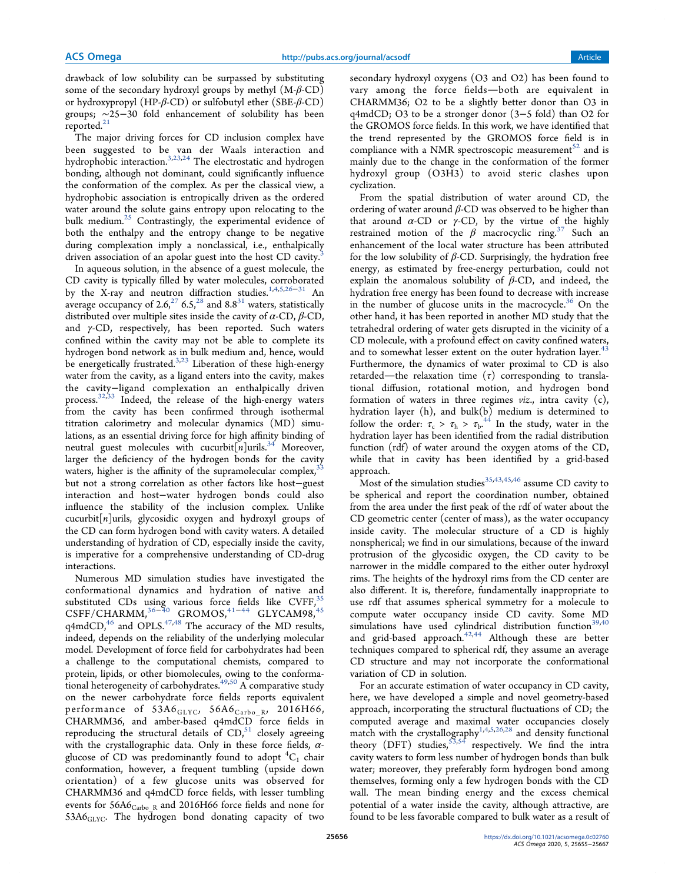drawback of low solubility can be surpassed by substituting some of the secondary hydroxyl groups by methyl  $(M-\beta-CD)$ or hydroxypropyl (HP- $\beta$ -CD) or sulfobutyl ether (SBE- $\beta$ -CD) groups; ∼25−30 fold enhancement of solubility has been reported.<sup>21</sup>

The major driving forces for CD inclusion complex have been suggested to be van der Waals interaction and hydrophobic interaction.<sup>3,23,24</sup> The electrostatic and hydrogen bonding, although not dominant, could significantly influence the conformation of the complex. As per the classical view, a hydrophobic association is entropically driven as the ordered water around the solute gains entropy upon relocating to the bulk medium.<sup>25</sup> Contrastingly, the experimental evidence of both the enthalpy and the entropy change to be negative during complexation imply a nonclassical, i.e., enthalpically driven association of an apolar guest into the host CD cavity.<sup>3</sup>

In aqueous solution, in the absence of a guest molecule, the CD cavity is typically filled by water molecules, corroborated by the X-ray and neutron diffraction studies.1,4,5,26−<sup>31</sup> An average occupancy of 2.6,  $27$  6.5,  $28$  and 8.8<sup>31</sup> waters, statistically distributed over multiple sites inside the cavity of  $\alpha$ -CD,  $\beta$ -CD, and  $\gamma$ -CD, respectively, has been reported. Such waters confined within the cavity may not be able to complete its hydrogen bond network as in bulk medium and, hence, would be energetically frustrated.<sup>3,23</sup> Liberation of these high-energy water from the cavity, as a ligand enters into the cavity, makes the cavity−ligand complexation an enthalpically driven process.<sup>32,33</sup> Indeed, the release of the high-energy waters from the cavity has been confirmed through isothermal titration calorimetry and molecular dynamics (MD) simulations, as an essential driving force for high affinity binding of neutral guest molecules with cucurbit<sup>[n]</sup>urils.<sup>34</sup> Moreover, larger the deficiency of the hydrogen bonds for the cavity waters, higher is the affinity of the supramolecular complex,  $33$ but not a strong correlation as other factors like host−guest interaction and host−water hydrogen bonds could also influence the stability of the inclusion complex. Unlike cucurbit[*n*]urils, glycosidic oxygen and hydroxyl groups of the CD can form hydrogen bond with cavity waters. A detailed understanding of hydration of CD, especially inside the cavity, is imperative for a comprehensive understanding of CD-drug interactions.

Numerous MD simulation studies have investigated the conformational dynamics and hydration of native and substituted  $CDs$  using various force fields like  $CVFF$ ,<sup>35</sup>  $\text{CSFF}/\text{CHARMM},^{36-40}$  GROMOS,<sup>41–44</sup> GLYCAM98,<sup>45</sup>  $q4$ mdCD,<sup>46</sup> and OPLS.<sup>47,48</sup> The accuracy of the MD results, indeed, depends on the reliability of the underlying molecular model. Development of force field for carbohydrates had been a challenge to the computational chemists, compared to protein, lipids, or other biomolecules, owing to the conformational heterogeneity of carbohydrates.<sup>49,50</sup> A comparative study on the newer carbohydrate force fields reports equivalent performance of  $53A6<sub>GLYC</sub>$ ,  $56A6<sub>Carbo_R</sub>$ ,  $2016H66$ , CHARMM36, and amber-based q4mdCD force fields in reproducing the structural details of  $CD<sub>1</sub><sup>51</sup>$  closely agreeing with the crystallographic data. Only in these force fields,  $\alpha$ glucose of CD was predominantly found to adopt  ${}^4C_1$  chair conformation, however, a frequent tumbling (upside down orientation) of a few glucose units was observed for CHARMM36 and q4mdCD force fields, with lesser tumbling events for  $56A6_{\rm Carbon\_R}$  and 2016H66 force fields and none for  $53A6<sub>GLYC</sub>$ . The hydrogen bond donating capacity of two

secondary hydroxyl oxygens (O3 and O2) has been found to vary among the force fields-both are equivalent in CHARMM36; O2 to be a slightly better donor than O3 in q4mdCD; O3 to be a stronger donor (3−5 fold) than O2 for the GROMOS force fields. In this work, we have identified that the trend represented by the GROMOS force field is in compliance with a NMR spectroscopic measurement<sup>52</sup> and is mainly due to the change in the conformation of the former hydroxyl group (O3H3) to avoid steric clashes upon cyclization.

From the spatial distribution of water around CD, the ordering of water around  $β$ -CD was observed to be higher than that around  $\alpha$ -CD or  $\gamma$ -CD, by the virtue of the highly restrained motion of the  $\beta$  macrocyclic ring.<sup>37</sup> Such an enhancement of the local water structure has been attributed for the low solubility of  $\beta$ -CD. Surprisingly, the hydration free energy, as estimated by free-energy perturbation, could not explain the anomalous solubility of  $\beta$ -CD, and indeed, the hydration free energy has been found to decrease with increase in the number of glucose units in the macrocycle. $36$  On the other hand, it has been reported in another MD study that the tetrahedral ordering of water gets disrupted in the vicinity of a CD molecule, with a profound effect on cavity confined waters, and to somewhat lesser extent on the outer hydration layer.<sup>4</sup> Furthermore, the dynamics of water proximal to CD is also retarded—the relaxation time  $(\tau)$  corresponding to translational diffusion, rotational motion, and hydrogen bond formation of waters in three regimes *viz*., intra cavity (c), hydration layer (h), and bulk(b) medium is determined to follow the order:  $\tau_c > \tau_h > \tau_b$ .<sup>44</sup> In the study, water in the hydration layer has been identified from the radial distribution function (rdf) of water around the oxygen atoms of the CD, while that in cavity has been identified by a grid-based approach.

Most of the simulation studies<sup>35,43,45,46</sup> assume CD cavity to be spherical and report the coordination number, obtained from the area under the first peak of the rdf of water about the CD geometric center (center of mass), as the water occupancy inside cavity. The molecular structure of a CD is highly nonspherical; we find in our simulations, because of the inward protrusion of the glycosidic oxygen, the CD cavity to be narrower in the middle compared to the either outer hydroxyl rims. The heights of the hydroxyl rims from the CD center are also different. It is, therefore, fundamentally inappropriate to use rdf that assumes spherical symmetry for a molecule to compute water occupancy inside CD cavity. Some MD simulations have used cylindrical distribution function<sup>39,40</sup> and grid-based approach.<sup>42,44</sup> Although these are better techniques compared to spherical rdf, they assume an average CD structure and may not incorporate the conformational variation of CD in solution.

For an accurate estimation of water occupancy in CD cavity, here, we have developed a simple and novel geometry-based approach, incorporating the structural fluctuations of CD; the computed average and maximal water occupancies closely match with the crystallography<sup>1,4,5,26,28</sup> and density functional theory (DFT) studies,  $55,54$  respectively. We find the intra cavity waters to form less number of hydrogen bonds than bulk water; moreover, they preferably form hydrogen bond among themselves, forming only a few hydrogen bonds with the CD wall. The mean binding energy and the excess chemical potential of a water inside the cavity, although attractive, are found to be less favorable compared to bulk water as a result of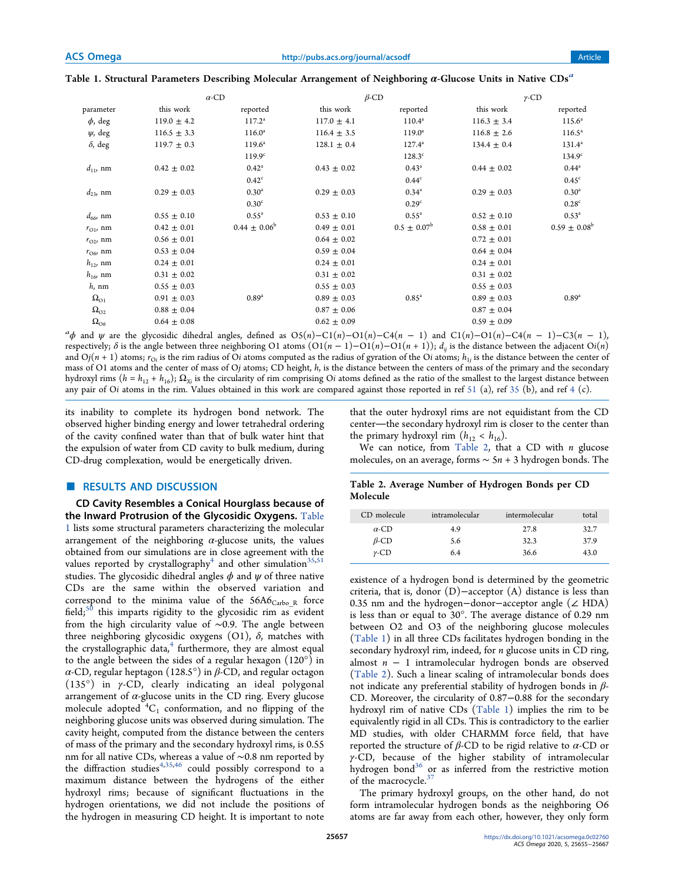|                      | $\alpha$ -CD    |                         | $\beta$ -CD     |                        | $\gamma$ -CD    |                            |
|----------------------|-----------------|-------------------------|-----------------|------------------------|-----------------|----------------------------|
| parameter            | this work       | reported                | this work       | reported               | this work       | reported                   |
| $\phi$ , deg         | $119.0 \pm 4.2$ | $117.2^a$               | $117.0 \pm 4.1$ | $110.4^a$              | $116.3 \pm 3.4$ | $115.6^a$                  |
| $\psi$ , deg         | $116.5 \pm 3.3$ | $116.0^a$               | $116.4 \pm 3.5$ | $119.0^a$              | $116.8 \pm 2.6$ | $116.5^a$                  |
| $\delta$ , deg       | $119.7 \pm 0.3$ | $119.6^a$               | $128.1 \pm 0.4$ | $127.4^a$              | $134.4 \pm 0.4$ | $131.4^a$                  |
|                      |                 | 119.9 <sup>c</sup>      |                 | $128.3^{\circ}$        |                 | 134.9 <sup>c</sup>         |
| $d_{11}$ , nm        | $0.42 \pm 0.02$ | $0.42^{\rm a}$          | $0.43 \pm 0.02$ | $0.43^a$               | $0.44 \pm 0.02$ | 0.44 <sup>a</sup>          |
|                      |                 | $0.42^{\circ}$          |                 | 0.44 <sup>c</sup>      |                 | $0.45^{\circ}$             |
| $d_{23}$ , nm        | $0.29 \pm 0.03$ | 0.30 <sup>a</sup>       | $0.29 \pm 0.03$ | $0.34^{a}$             | $0.29 \pm 0.03$ | 0.30 <sup>a</sup>          |
|                      |                 | 0.30 <sup>c</sup>       |                 | 0.29 <sup>c</sup>      |                 | 0.28 <sup>c</sup>          |
| $d_{66}$ , nm        | $0.55 \pm 0.10$ | $0.55^{\rm a}$          | $0.53 \pm 0.10$ | $0.55^{\rm a}$         | $0.52 \pm 0.10$ | $0.53^{\circ}$             |
| $r_{\Omega}$ , nm    | $0.42 \pm 0.01$ | $0.44 \pm 0.06^{\rm b}$ | $0.49 \pm 0.01$ | $0.5 \pm 0.07^{\rm b}$ | $0.58 \pm 0.01$ | $0.59 \pm 0.08^{\text{h}}$ |
| $r_{O2}$ , nm        | $0.56 \pm 0.01$ |                         | $0.64 \pm 0.02$ |                        | $0.72 \pm 0.01$ |                            |
| $r_{\text{O6}}$ , nm | $0.53 \pm 0.04$ |                         | $0.59 \pm 0.04$ |                        | $0.64 \pm 0.04$ |                            |
| $h_{12}$ , nm        | $0.24 \pm 0.01$ |                         | $0.24 \pm 0.01$ |                        | $0.24 \pm 0.01$ |                            |
| $h_{16}$ , nm        | $0.31 \pm 0.02$ |                         | $0.31 \pm 0.02$ |                        | $0.31 \pm 0.02$ |                            |
| $h$ , nm             | $0.55 \pm 0.03$ |                         | $0.55 \pm 0.03$ |                        | $0.55 \pm 0.03$ |                            |
| $\Omega_{01}$        | $0.91 \pm 0.03$ | $0.89^{a}$              | $0.89 \pm 0.03$ | 0.85 <sup>a</sup>      | $0.89 \pm 0.03$ | $0.89^{a}$                 |
| $\Omega_{O2}$        | $0.88 \pm 0.04$ |                         | $0.87 \pm 0.06$ |                        | $0.87 \pm 0.04$ |                            |
| $\Omega_{\text{O6}}$ | $0.64 \pm 0.08$ |                         | $0.62 \pm 0.09$ |                        | $0.59 \pm 0.09$ |                            |

#### Table 1. Structural Parameters Describing Molecular Arrangement of Neighboring  $\alpha$ -Glucose Units in Native CDs<sup>a</sup>

*a* $\phi$  and  $\psi$  are the glycosidic dihedral angles, defined as O5(*n*)−C1(*n*)−O1(*n*)−C4(*n* − 1) and C1(*n*)−O1(*n*)−C4(*n* − 1)−C3(*n* − 1), respectively; δ is the angle between three neighboring O1 atoms  $(O1(n-1)-O1(n)-O1(n+1))$ ;  $d_{ii}$  is the distance between the adjacent  $Oi(n)$ and  $Oj(n+1)$  atoms;  $r_{0i}$  is the rim radius of O*i* atoms computed as the radius of gyration of the O*i* atoms;  $h_{1j}$  is the distance between the center of mass of O1 atoms and the center of mass of O*j* atoms; CD height, *h*, is the distance between the centers of mass of the primary and the secondary hydroxyl rims ( $h = h_{12} + h_{16}$ ); Ω<sub>Xi</sub> is the circularity of rim comprising O*i* atoms defined as the ratio of the smallest to the largest distance between any pair of O*i* atoms in the rim. Values obtained in this work are compared against those reported in ref 51 (a), ref 35 (b), and ref 4 (c).

its inability to complete its hydrogen bond network. The observed higher binding energy and lower tetrahedral ordering of the cavity confined water than that of bulk water hint that the expulsion of water from CD cavity to bulk medium, during CD-drug complexation, would be energetically driven.

# that the outer hydroxyl rims are not equidistant from the CD center-the secondary hydroxyl rim is closer to the center than the primary hydroxyl rim  $(h_{12} < h_{16})$ .

We can notice, from Table 2, that a CD with *n* glucose molecules, on an average, forms ∼ 5*n* + 3 hydrogen bonds. The

# ■ RESULTS AND DISCUSSION

CD Cavity Resembles a Conical Hourglass because of the Inward Protrusion of the Glycosidic Oxygens. Table 1 lists some structural parameters characterizing the molecular arrangement of the neighboring  $\alpha$ -glucose units, the values obtained from our simulations are in close agreement with the values reported by crystallography<sup>4</sup> and other simulation<sup>35,51</sup> studies. The glycosidic dihedral angles  $\phi$  and  $\psi$  of three native CDs are the same within the observed variation and correspond to the minima value of the  $56A6_{\text{Carbo R}}$  force field; $50$  this imparts rigidity to the glycosidic rim as evident from the high circularity value of ∼0.9. The angle between three neighboring glycosidic oxygens  $(O1)$ ,  $\delta$ , matches with the crystallographic data, $4$  furthermore, they are almost equal to the angle between the sides of a regular hexagon (120°) in  $\alpha$ -CD, regular heptagon (128.5°) in  $\beta$ -CD, and regular octagon (135 $\degree$ ) in  $\gamma$ -CD, clearly indicating an ideal polygonal arrangement of  $\alpha$ -glucose units in the CD ring. Every glucose molecule adopted  ${}^{4}C_{1}$  conformation, and no flipping of the neighboring glucose units was observed during simulation. The cavity height, computed from the distance between the centers of mass of the primary and the secondary hydroxyl rims, is 0.55 nm for all native CDs, whereas a value of ∼0.8 nm reported by the diffraction studies<sup>4,35,46</sup> could possibly correspond to a maximum distance between the hydrogens of the either hydroxyl rims; because of significant fluctuations in the hydrogen orientations, we did not include the positions of the hydrogen in measuring CD height. It is important to note

Table 2. Average Number of Hydrogen Bonds per CD Molecule

| CD molecule  | intramolecular | intermolecular | total |
|--------------|----------------|----------------|-------|
| $\alpha$ -CD | 4.9            | 27.8           | 32.7  |
| $\beta$ -CD  | 5.6            | 32.3           | 37.9  |
| $\gamma$ -CD | 6.4            | 36.6           | 43.0  |

existence of a hydrogen bond is determined by the geometric criteria, that is, donor (D)−acceptor (A) distance is less than 0.35 nm and the hydrogen−donor−acceptor angle (∠ HDA) is less than or equal to 30°. The average distance of 0.29 nm between O2 and O3 of the neighboring glucose molecules (Table 1) in all three CDs facilitates hydrogen bonding in the secondary hydroxyl rim, indeed, for *n* glucose units in CD ring, almost *n* − 1 intramolecular hydrogen bonds are observed (Table 2). Such a linear scaling of intramolecular bonds does not indicate any preferential stability of hydrogen bonds in  $\beta$ -CD. Moreover, the circularity of 0.87−0.88 for the secondary hydroxyl rim of native CDs (Table 1) implies the rim to be equivalently rigid in all CDs. This is contradictory to the earlier MD studies, with older CHARMM force field, that have reported the structure of  $β$ -CD to be rigid relative to  $α$ -CD or γ-CD, because of the higher stability of intramolecular hydrogen bond $36$  or as inferred from the restrictive motion of the macrocycle.<sup>37</sup>

The primary hydroxyl groups, on the other hand, do not form intramolecular hydrogen bonds as the neighboring O6 atoms are far away from each other, however, they only form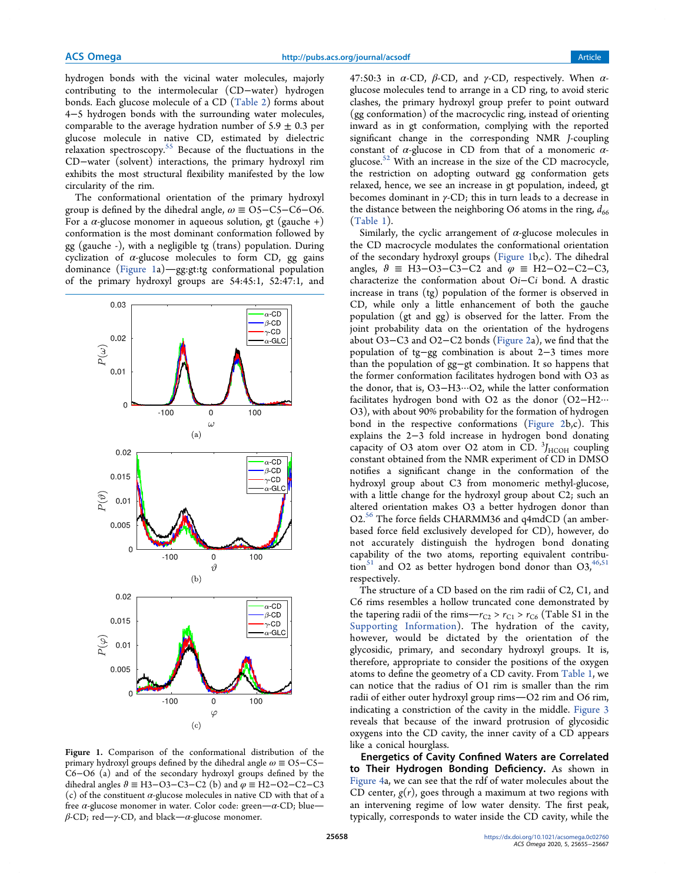hydrogen bonds with the vicinal water molecules, majorly contributing to the intermolecular (CD−water) hydrogen bonds. Each glucose molecule of a CD (Table 2) forms about 4−5 hydrogen bonds with the surrounding water molecules, comparable to the average hydration number of  $5.9 \pm 0.3$  per glucose molecule in native CD, estimated by dielectric relaxation spectroscopy.<sup>55</sup> Because of the fluctuations in the CD−water (solvent) interactions, the primary hydroxyl rim exhibits the most structural flexibility manifested by the low circularity of the rim.

The conformational orientation of the primary hydroxyl group is defined by the dihedral angle,  $\omega \equiv \text{O}5-\text{C}5-\text{C}6-\text{O}6$ . For a  $\alpha$ -glucose monomer in aqueous solution, gt (gauche +) conformation is the most dominant conformation followed by gg (gauche -), with a negligible tg (trans) population. During cyclization of  $\alpha$ -glucose molecules to form CD, gg gains dominance (Figure 1a) $-$ gg:gt:tg conformational population of the primary hydroxyl groups are 54:45:1, 52:47:1, and



Figure 1. Comparison of the conformational distribution of the primary hydroxyl groups defined by the dihedral angle  $\omega \equiv \text{O}5-\text{C}5-\text{O}$ C6−O6 (a) and of the secondary hydroxyl groups defined by the dihedral angles  $\theta \equiv H_3 - O_3 - C_3 - C_2$  (b) and  $\varphi \equiv H_2 - O_2 - C_2 - C_3$ (c) of the constituent  $\alpha$ -glucose molecules in native CD with that of a free  $\alpha$ -glucose monomer in water. Color code: green- $\alpha$ -CD; blue $β$ -CD; red- $γ$ -CD, and black- $α$ -glucose monomer.

47:50:3 in  $\alpha$ -CD,  $\beta$ -CD, and γ-CD, respectively. When  $\alpha$ glucose molecules tend to arrange in a CD ring, to avoid steric clashes, the primary hydroxyl group prefer to point outward (gg conformation) of the macrocyclic ring, instead of orienting inward as in gt conformation, complying with the reported significant change in the corresponding NMR *J*-coupling constant of  $\alpha$ -glucose in CD from that of a monomeric  $\alpha$ glucose.<sup>52</sup> With an increase in the size of the CD macrocycle, the restriction on adopting outward gg conformation gets relaxed, hence, we see an increase in gt population, indeed, gt becomes dominant in  $\gamma$ -CD; this in turn leads to a decrease in the distance between the neighboring O6 atoms in the ring,  $d_{66}$ (Table 1).

Similarly, the cyclic arrangement of  $\alpha$ -glucose molecules in the CD macrocycle modulates the conformational orientation of the secondary hydroxyl groups (Figure 1b,c). The dihedral angles,  $\theta \equiv H_3 - O_3 - C_3 - C_2$  and  $\varphi \equiv H_2 - O_2 - C_3 - C_3$ , characterize the conformation about O*i*−C*i* bond. A drastic increase in trans (tg) population of the former is observed in CD, while only a little enhancement of both the gauche population (gt and gg) is observed for the latter. From the joint probability data on the orientation of the hydrogens about O3−C3 and O2−C2 bonds (Figure 2a), we find that the population of tg−gg combination is about 2−3 times more than the population of gg−gt combination. It so happens that the former conformation facilitates hydrogen bond with O3 as the donor, that is, O3−H3···O2, while the latter conformation facilitates hydrogen bond with O2 as the donor (O2−H2··· O3), with about 90% probability for the formation of hydrogen bond in the respective conformations (Figure 2b,c). This explains the 2−3 fold increase in hydrogen bond donating capacity of O3 atom over O2 atom in CD.  $\mathrm{^{3}J_{HCOH}}$  coupling constant obtained from the NMR experiment of CD in DMSO notifies a significant change in the conformation of the hydroxyl group about C3 from monomeric methyl-glucose, with a little change for the hydroxyl group about C2; such an altered orientation makes O3 a better hydrogen donor than O2.<sup>56</sup> The force fields CHARMM36 and q4mdCD (an amberbased force field exclusively developed for CD), however, do not accurately distinguish the hydrogen bond donating capability of the two atoms, reporting equivalent contribution<sup>51</sup> and O2 as better hydrogen bond donor than  $O3<sub>1</sub><sup>46,51</sup>$ respectively.

The structure of a CD based on the rim radii of C2, C1, and C6 rims resembles a hollow truncated cone demonstrated by the tapering radii of the rims— $r_{C2} > r_{C1} > r_{C6}$  (Table S1 in the Supporting Information). The hydration of the cavity, however, would be dictated by the orientation of the glycosidic, primary, and secondary hydroxyl groups. It is, therefore, appropriate to consider the positions of the oxygen atoms to define the geometry of a CD cavity. From Table 1, we can notice that the radius of O1 rim is smaller than the rim radii of either outer hydroxyl group rims—O2 rim and O6 rim, indicating a constriction of the cavity in the middle. Figure 3 reveals that because of the inward protrusion of glycosidic oxygens into the CD cavity, the inner cavity of a CD appears like a conical hourglass.

Energetics of Cavity Confined Waters are Correlated to Their Hydrogen Bonding Deficiency. As shown in Figure 4a, we can see that the rdf of water molecules about the CD center,  $g(r)$ , goes through a maximum at two regions with an intervening regime of low water density. The first peak, typically, corresponds to water inside the CD cavity, while the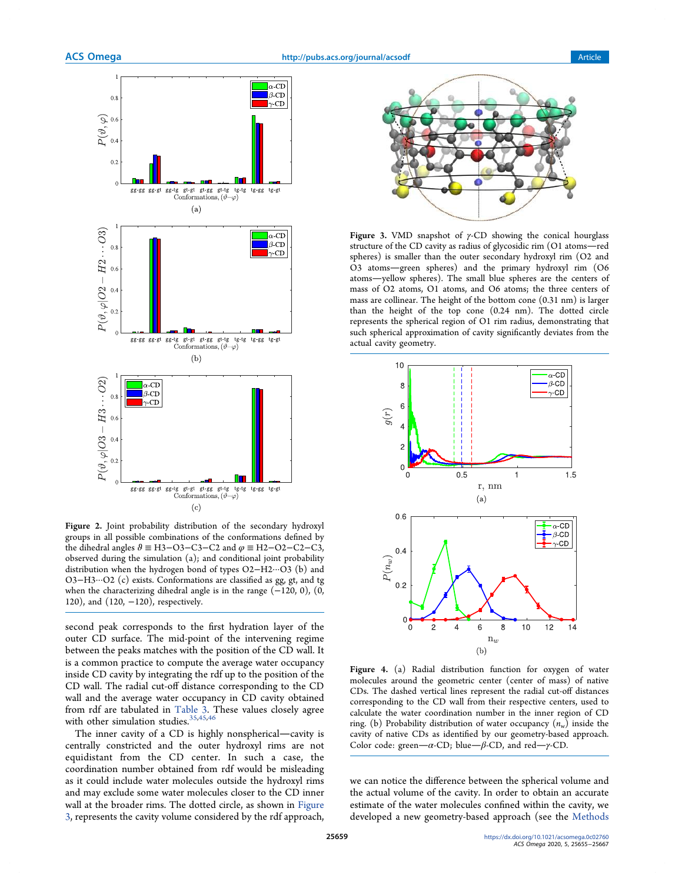

Figure 2. Joint probability distribution of the secondary hydroxyl groups in all possible combinations of the conformations defined by the dihedral angles  $θ ≡ H3-O3-C3-C2$  and  $φ ≡ H2-O2-C2-C3$ , observed during the simulation (a); and conditional joint probability distribution when the hydrogen bond of types O2−H2···O3 (b) and O3−H3···O2 (c) exists. Conformations are classified as gg, gt, and tg when the characterizing dihedral angle is in the range  $(-120, 0)$ ,  $(0, 0)$ 120), and (120, −120), respectively.

second peak corresponds to the first hydration layer of the outer CD surface. The mid-point of the intervening regime between the peaks matches with the position of the CD wall. It is a common practice to compute the average water occupancy inside CD cavity by integrating the rdf up to the position of the CD wall. The radial cut-off distance corresponding to the CD wall and the average water occupancy in CD cavity obtained from rdf are tabulated in Table 3. These values closely agree with other simulation studies.<sup>35,45,46</sup>

The inner cavity of a CD is highly nonspherical-cavity is centrally constricted and the outer hydroxyl rims are not equidistant from the CD center. In such a case, the coordination number obtained from rdf would be misleading as it could include water molecules outside the hydroxyl rims and may exclude some water molecules closer to the CD inner wall at the broader rims. The dotted circle, as shown in Figure 3, represents the cavity volume considered by the rdf approach,



Figure 3. VMD snapshot of  $\gamma$ -CD showing the conical hourglass structure of the CD cavity as radius of glycosidic rim (O1 atoms-red spheres) is smaller than the outer secondary hydroxyl rim (O2 and O3 atoms-green spheres) and the primary hydroxyl rim (O6 atoms-yellow spheres). The small blue spheres are the centers of mass of O2 atoms, O1 atoms, and O6 atoms; the three centers of mass are collinear. The height of the bottom cone (0.31 nm) is larger than the height of the top cone (0.24 nm). The dotted circle represents the spherical region of O1 rim radius, demonstrating that such spherical approximation of cavity significantly deviates from the actual cavity geometry.



Figure 4. (a) Radial distribution function for oxygen of water molecules around the geometric center (center of mass) of native CDs. The dashed vertical lines represent the radial cut-off distances corresponding to the CD wall from their respective centers, used to calculate the water coordination number in the inner region of CD ring. (b) Probability distribution of water occupancy  $(n_w)$  inside the cavity of native CDs as identified by our geometry-based approach. Color code: green- $\alpha$ -CD; blue- $\beta$ -CD, and red- $\gamma$ -CD.

we can notice the difference between the spherical volume and the actual volume of the cavity. In order to obtain an accurate estimate of the water molecules confined within the cavity, we developed a new geometry-based approach (see the Methods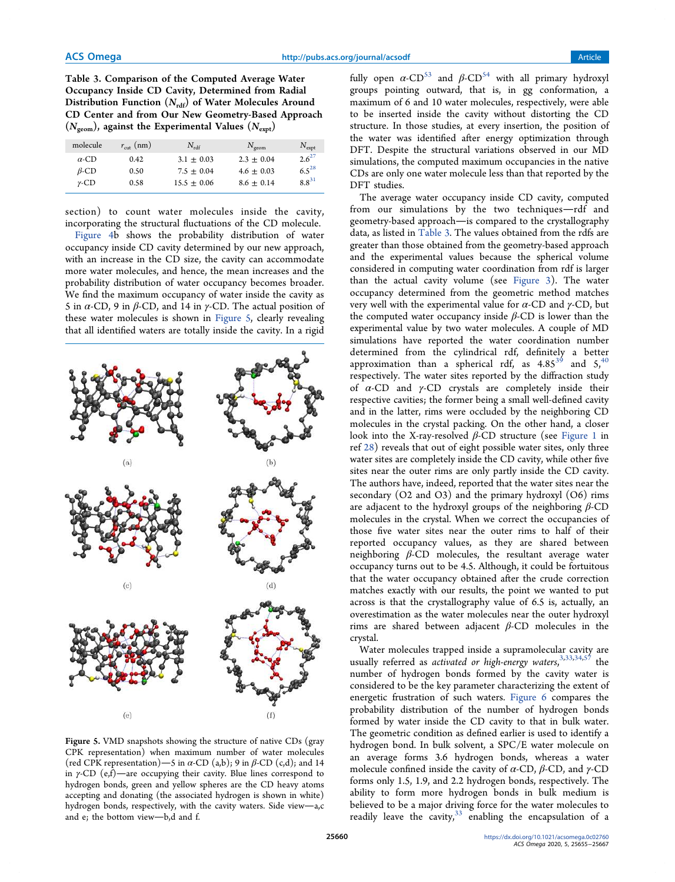Table 3. Comparison of the Computed Average Water Occupancy Inside CD Cavity, Determined from Radial Distribution Function  $(N_{\text{rdf}})$  of Water Molecules Around CD Center and from Our New Geometry-Based Approach  $(N_{\text{geom}})$ , against the Experimental Values  $(N_{\text{expt}})$ 

| molecule     | $r_{\rm cut}$ (nm) | $N_{\rm{rdf}}$ | $N_{\text{geom}}$ | $N_{\text{expt}}$ |
|--------------|--------------------|----------------|-------------------|-------------------|
| $\alpha$ -CD | 0.42               | $3.1 + 0.03$   | $2.3 + 0.04$      | $2.6^{27}$        |
| $\beta$ -CD  | 0.50               | $7.5 + 0.04$   | $4.6 + 0.03$      | $6.5^{28}$        |
| $\gamma$ -CD | 0.58               | $15.5 + 0.06$  | $8.6 + 0.14$      | $8.8^{31}$        |

section) to count water molecules inside the cavity, incorporating the structural fluctuations of the CD molecule.

Figure 4b shows the probability distribution of water occupancy inside CD cavity determined by our new approach, with an increase in the CD size, the cavity can accommodate more water molecules, and hence, the mean increases and the probability distribution of water occupancy becomes broader. We find the maximum occupancy of water inside the cavity as 5 in  $\alpha$ -CD, 9 in  $\beta$ -CD, and 14 in γ-CD. The actual position of these water molecules is shown in Figure 5, clearly revealing that all identified waters are totally inside the cavity. In a rigid



Figure 5. VMD snapshots showing the structure of native CDs (gray CPK representation) when maximum number of water molecules (red CPK representation)—5 in  $\alpha$ -CD (a,b); 9 in  $\beta$ -CD (c,d); and 14 in  $\gamma$ -CD (e, $\vec{f}$ )—are occupying their cavity. Blue lines correspond to hydrogen bonds, green and yellow spheres are the CD heavy atoms accepting and donating (the associated hydrogen is shown in white) hydrogen bonds, respectively, with the cavity waters. Side view-a,c and e; the bottom view-b,d and f.

fully open  $\alpha$ -CD<sup>53</sup> and  $\beta$ -CD<sup>54</sup> with all primary hydroxyl groups pointing outward, that is, in gg conformation, a maximum of 6 and 10 water molecules, respectively, were able to be inserted inside the cavity without distorting the CD structure. In those studies, at every insertion, the position of the water was identified after energy optimization through DFT. Despite the structural variations observed in our MD simulations, the computed maximum occupancies in the native CDs are only one water molecule less than that reported by the DFT studies.

The average water occupancy inside CD cavity, computed from our simulations by the two techniques-rdf and geometry-based approach-is compared to the crystallography data, as listed in Table 3. The values obtained from the rdfs are greater than those obtained from the geometry-based approach and the experimental values because the spherical volume considered in computing water coordination from rdf is larger than the actual cavity volume (see Figure 3). The water occupancy determined from the geometric method matches very well with the experimental value for  $α$ -CD and  $γ$ -CD, but the computed water occupancy inside  $\beta$ -CD is lower than the experimental value by two water molecules. A couple of MD simulations have reported the water coordination number determined from the cylindrical rdf, definitely a better approximation than a spherical rdf, as  $4.85^{39}$  and  $5,40$ respectively. The water sites reported by the diffraction study of  $\alpha$ -CD and  $\gamma$ -CD crystals are completely inside their respective cavities; the former being a small well-defined cavity and in the latter, rims were occluded by the neighboring CD molecules in the crystal packing. On the other hand, a closer look into the X-ray-resolved  $β$ -CD structure (see Figure 1 in ref 28) reveals that out of eight possible water sites, only three water sites are completely inside the CD cavity, while other five sites near the outer rims are only partly inside the CD cavity. The authors have, indeed, reported that the water sites near the secondary (O2 and O3) and the primary hydroxyl (O6) rims are adjacent to the hydroxyl groups of the neighboring  $β$ -CD molecules in the crystal. When we correct the occupancies of those five water sites near the outer rims to half of their reported occupancy values, as they are shared between neighboring  $β$ -CD molecules, the resultant average water occupancy turns out to be 4.5. Although, it could be fortuitous that the water occupancy obtained after the crude correction matches exactly with our results, the point we wanted to put across is that the crystallography value of 6.5 is, actually, an overestimation as the water molecules near the outer hydroxyl rims are shared between adjacent  $β$ -CD molecules in the crystal.

Water molecules trapped inside a supramolecular cavity are usually referred as *activated or high-energy waters*, 3,33,34,57 the number of hydrogen bonds formed by the cavity water is considered to be the key parameter characterizing the extent of energetic frustration of such waters. Figure 6 compares the probability distribution of the number of hydrogen bonds formed by water inside the CD cavity to that in bulk water. The geometric condition as defined earlier is used to identify a hydrogen bond. In bulk solvent, a SPC/E water molecule on an average forms 3.6 hydrogen bonds, whereas a water molecule confined inside the cavity of  $\alpha$ -CD,  $\beta$ -CD, and  $\gamma$ -CD forms only 1.5, 1.9, and 2.2 hydrogen bonds, respectively. The ability to form more hydrogen bonds in bulk medium is believed to be a major driving force for the water molecules to readily leave the cavity,  $33$  enabling the encapsulation of a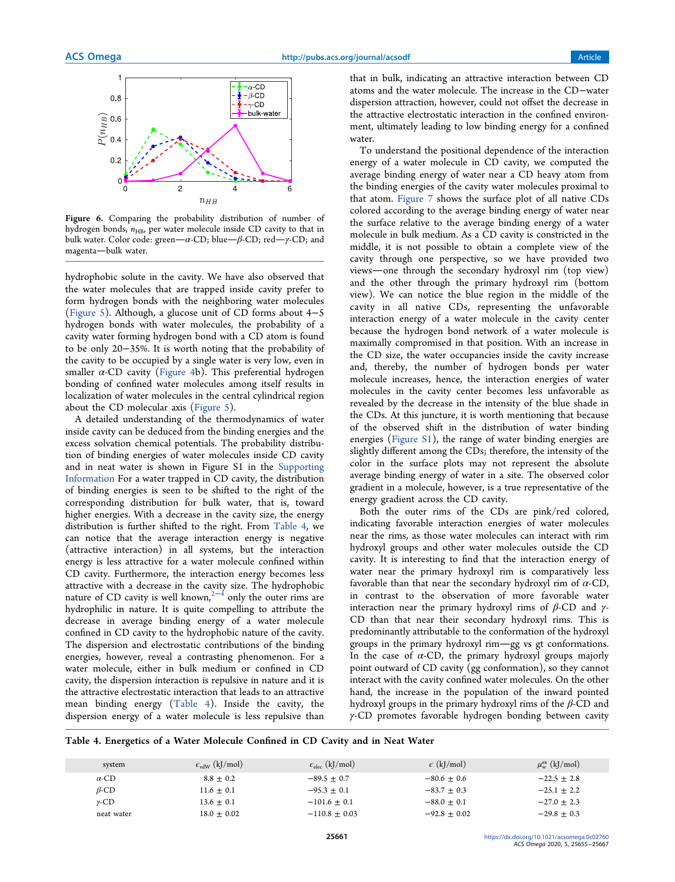

Figure 6. Comparing the probability distribution of number of hydrogen bonds,  $n_{\text{HB}}$ , per water molecule inside CD cavity to that in bulk water. Color code: green— $\alpha$ -CD; blue— $\beta$ -CD; red— $\gamma$ -CD; and magenta-bulk water.

hydrophobic solute in the cavity. We have also observed that the water molecules that are trapped inside cavity prefer to form hydrogen bonds with the neighboring water molecules (Figure 5). Although, a glucose unit of CD forms about 4−5 hydrogen bonds with water molecules, the probability of a cavity water forming hydrogen bond with a CD atom is found to be only 20−35%. It is worth noting that the probability of the cavity to be occupied by a single water is very low, even in smaller  $\alpha$ -CD cavity (Figure 4b). This preferential hydrogen bonding of confined water molecules among itself results in localization of water molecules in the central cylindrical region about the CD molecular axis (Figure 5).

A detailed understanding of the thermodynamics of water inside cavity can be deduced from the binding energies and the excess solvation chemical potentials. The probability distribution of binding energies of water molecules inside CD cavity and in neat water is shown in Figure S1 in the Supporting Information For a water trapped in CD cavity, the distribution of binding energies is seen to be shifted to the right of the corresponding distribution for bulk water, that is, toward higher energies. With a decrease in the cavity size, the energy distribution is further shifted to the right. From Table 4, we can notice that the average interaction energy is negative (attractive interaction) in all systems, but the interaction energy is less attractive for a water molecule confined within CD cavity. Furthermore, the interaction energy becomes less attractive with a decrease in the cavity size. The hydrophobic nature of CD cavity is well known,<sup>2–4</sup> only the outer rims are hydrophilic in nature. It is quite compelling to attribute the decrease in average binding energy of a water molecule confined in CD cavity to the hydrophobic nature of the cavity. The dispersion and electrostatic contributions of the binding energies, however, reveal a contrasting phenomenon. For a water molecule, either in bulk medium or confined in CD cavity, the dispersion interaction is repulsive in nature and it is the attractive electrostatic interaction that leads to an attractive mean binding energy (Table 4). Inside the cavity, the dispersion energy of a water molecule is less repulsive than

that in bulk, indicating an attractive interaction between CD atoms and the water molecule. The increase in the CD−water dispersion attraction, however, could not offset the decrease in the attractive electrostatic interaction in the confined environment, ultimately leading to low binding energy for a confined water.

To understand the positional dependence of the interaction energy of a water molecule in CD cavity, we computed the average binding energy of water near a CD heavy atom from the binding energies of the cavity water molecules proximal to that atom. Figure 7 shows the surface plot of all native CDs colored according to the average binding energy of water near the surface relative to the average binding energy of a water molecule in bulk medium. As a CD cavity is constricted in the middle, it is not possible to obtain a complete view of the cavity through one perspective, so we have provided two views-one through the secondary hydroxyl rim (top view) and the other through the primary hydroxyl rim (bottom view). We can notice the blue region in the middle of the cavity in all native CDs, representing the unfavorable interaction energy of a water molecule in the cavity center because the hydrogen bond network of a water molecule is maximally compromised in that position. With an increase in the CD size, the water occupancies inside the cavity increase and, thereby, the number of hydrogen bonds per water molecule increases, hence, the interaction energies of water molecules in the cavity center becomes less unfavorable as revealed by the decrease in the intensity of the blue shade in the CDs. At this juncture, it is worth mentioning that because of the observed shift in the distribution of water binding energies (Figure S1), the range of water binding energies are slightly different among the CDs; therefore, the intensity of the color in the surface plots may not represent the absolute average binding energy of water in a site. The observed color gradient in a molecule, however, is a true representative of the energy gradient across the CD cavity.

Both the outer rims of the CDs are pink/red colored, indicating favorable interaction energies of water molecules near the rims, as those water molecules can interact with rim hydroxyl groups and other water molecules outside the CD cavity. It is interesting to find that the interaction energy of water near the primary hydroxyl rim is comparatively less favorable than that near the secondary hydroxyl rim of  $\alpha$ -CD, in contrast to the observation of more favorable water interaction near the primary hydroxyl rims of β-CD and γ-CD than that near their secondary hydroxyl rims. This is predominantly attributable to the conformation of the hydroxyl groups in the primary hydroxyl rim-gg vs gt conformations. In the case of  $\alpha$ -CD, the primary hydroxyl groups majorly point outward of CD cavity (gg conformation), so they cannot interact with the cavity confined water molecules. On the other hand, the increase in the population of the inward pointed hydroxyl groups in the primary hydroxyl rims of the  $β$ -CD and γ-CD promotes favorable hydrogen bonding between cavity

Table 4. Energetics of a Water Molecule Confined in CD Cavity and in Neat Water

| system       | $\epsilon_{\text{vdW}}$ (kJ/mol) | $\epsilon_{\text{elec}}$ (kJ/mol) | $\epsilon$ (kJ/mol) | $\mu_{\rm w}^{\rm ex}$ (kJ/mol) |
|--------------|----------------------------------|-----------------------------------|---------------------|---------------------------------|
| $\alpha$ -CD | $8.8 + 0.2$                      | $-89.5 \pm 0.7$                   | $-80.6 + 0.6$       | $-22.5 \pm 2.8$                 |
| $\beta$ -CD  | $11.6 + 0.1$                     | $-95.3 \pm 0.1$                   | $-83.7 \pm 0.3$     | $-25.1 \pm 2.2$                 |
| $\nu$ -CD    | $13.6 + 0.1$                     | $-101.6 + 0.1$                    | $-88.0 + 0.1$       | $-27.0 + 2.3$                   |
| neat water   | $18.0 + 0.02$                    | $-110.8 + 0.03$                   | $-92.8 + 0.02$      | $-29.8 + 0.3$                   |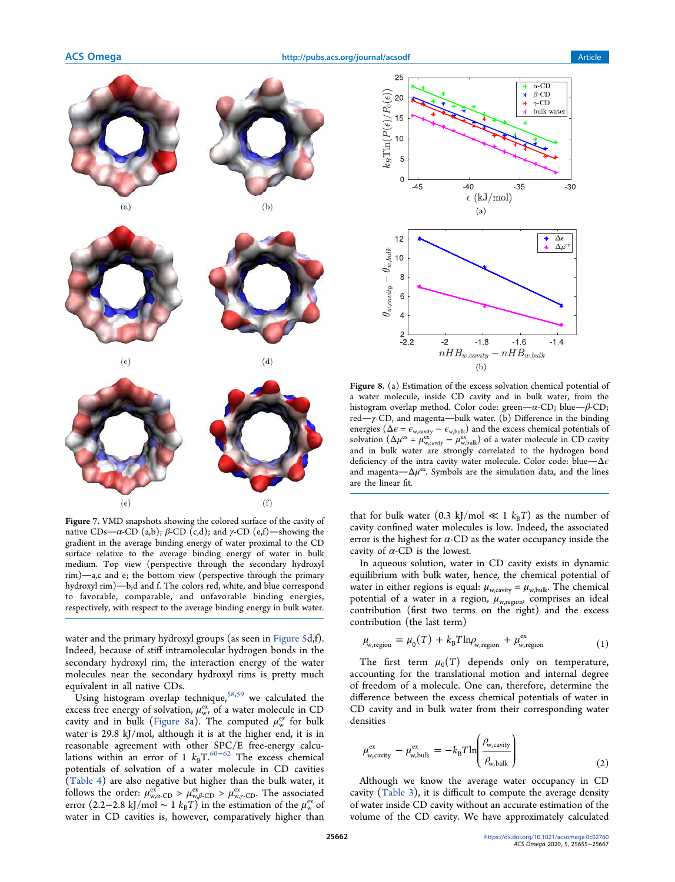

Figure 7. VMD snapshots showing the colored surface of the cavity of native CDs—α-CD (a,b); β-CD (c,d); and γ-CD (e,f)—showing the gradient in the average binding energy of water proximal to the CD surface relative to the average binding energy of water in bulk medium. Top view (perspective through the secondary hydroxyl  $r$ im) $-a$ ,c and e; the bottom view (perspective through the primary hydroxyl rim)-b,d and f. The colors red, white, and blue correspond to favorable, comparable, and unfavorable binding energies, respectively, with respect to the average binding energy in bulk water.

water and the primary hydroxyl groups (as seen in Figure 5d,f). Indeed, because of stiff intramolecular hydrogen bonds in the secondary hydroxyl rim, the interaction energy of the water molecules near the secondary hydroxyl rims is pretty much equivalent in all native CDs.

Using histogram overlap technique,<sup>58,59</sup> we calculated the excess free energy of solvation,  $\mu_w^{\text{ex}}$ , of a water molecule in CD cavity and in bulk (Figure 8a). The computed  $\mu_w^{\text{ex}}$  for bulk water is 29.8 kJ/mol, although it is at the higher end, it is in reasonable agreement with other SPC/E free-energy calculations within an error of 1  $k_B$ T.<sup>60−62</sup> The excess chemical potentials of solvation of a water molecule in CD cavities (Table 4) are also negative but higher than the bulk water, it follows the order:  $\mu_{w,a\text{-CD}}^{\text{ex}} > \mu_{w,\beta\text{-CD}}^{\text{ex}} > \mu_{w,\gamma\text{-CD}}^{\text{ex}}$ . The associated error (2.2−2.8 kJ/mol  $\sim 1 \; k_{\text{B}}T$ ) in the estimation of the  $\mu_{\text{w}}^{\text{ex}}$  of water in CD cavities is, however, comparatively higher than



Figure 8. (a) Estimation of the excess solvation chemical potential of a water molecule, inside CD cavity and in bulk water, from the histogram overlap method. Color code: green $-\alpha$ -CD; blue $-\beta$ -CD; red $-\gamma$ -CD, and magenta-bulk water. (b) Difference in the binding energies ( $\Delta \epsilon = \epsilon_{\text{w, cavity}} - \epsilon_{\text{w,bulk}}$ ) and the excess chemical potentials of solvation  $(\Delta \mu^{\text{ex}} = \mu^{\text{ex}}_{w, \text{cavity}} - \mu^{\text{ex}}_{w, \text{bulk}})$  of a water molecule in CD cavity and in bulk water are strongly correlated to the hydrogen bond deficiency of the intra cavity water molecule. Color code: blue $-\Delta\epsilon$ and magenta— $\Delta \mu$ <sup>ex</sup>. Symbols are the simulation data, and the lines are the linear fit.

that for bulk water (0.3 kJ/mol  $\ll 1$   $k_B T$ ) as the number of cavity confined water molecules is low. Indeed, the associated error is the highest for  $\alpha$ -CD as the water occupancy inside the cavity of  $\alpha$ -CD is the lowest.

In aqueous solution, water in CD cavity exists in dynamic equilibrium with bulk water, hence, the chemical potential of water in either regions is equal:  $\mu_{w, \text{cavity}} = \mu_{w, \text{bulk}}$ . The chemical potential of a water in a region,  $\mu_{w, \text{region}}$ , comprises an ideal contribution (first two terms on the right) and the excess contribution (the last term)

$$
\mu_{\text{w,region}} = \mu_0(T) + k_B T \ln \rho_{\text{w,region}} + \mu_{\text{w,region}}^{\text{ex}}
$$
 (1)

The first term  $\mu_0(T)$  depends only on temperature, accounting for the translational motion and internal degree of freedom of a molecule. One can, therefore, determine the difference between the excess chemical potentials of water in CD cavity and in bulk water from their corresponding water densities

$$
\mu_{\text{w, cavity}}^{\text{ex}} - \mu_{\text{w,bulk}}^{\text{ex}} = -k_{\text{B}} T \ln \left( \frac{\rho_{\text{w, cavity}}}{\rho_{\text{w,bulk}}} \right)
$$
(2)

Although we know the average water occupancy in CD cavity (Table 3), it is difficult to compute the average density of water inside CD cavity without an accurate estimation of the volume of the CD cavity. We have approximately calculated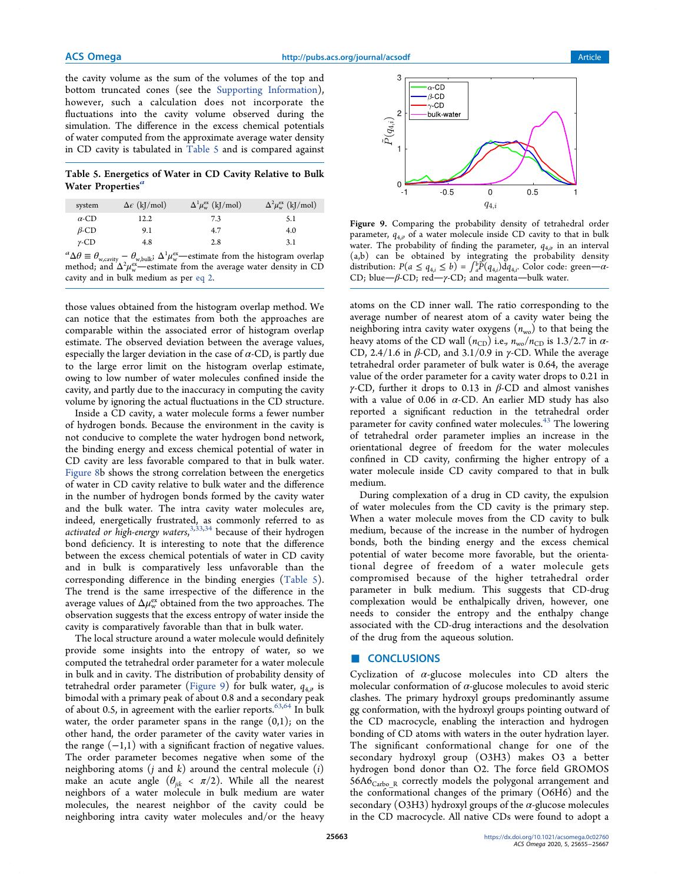the cavity volume as the sum of the volumes of the top and bottom truncated cones (see the Supporting Information), however, such a calculation does not incorporate the fluctuations into the cavity volume observed during the simulation. The difference in the excess chemical potentials of water computed from the approximate average water density in CD cavity is tabulated in Table 5 and is compared against

Table 5. Energetics of Water in CD Cavity Relative to Bulk Water Properties<sup>a</sup>

| system       | $\Delta \epsilon$ (kJ/mol) | $\Delta^1\mu_w^{ex}$ (kJ/mol) | $\Delta^2 \mu_{\rm w}^{\rm ex}$ (kJ/mol) |
|--------------|----------------------------|-------------------------------|------------------------------------------|
| $\alpha$ -CD | 12.2                       | 7.3                           | 5.1                                      |
| $\beta$ -CD  | 9.1                        | 4.7                           | 4.0                                      |
| $\gamma$ -CD | 4.8                        | 2.8                           | 3.1                                      |
| .            | $\cdot$ 1 $\cdot$<br>-     |                               |                                          |

 $a^a \Delta \theta \equiv \theta_{\rm w, cavity} - \theta_{\rm w, bulk}$ ;  $\Delta^1 \mu_{\rm w}^{\rm ex}$ —estimate from the histogram overlap method; and  $\Delta^2 \mu_w^{\text{ex}}$  estimate from the average water density in CD cavity and in bulk medium as per eq 2.

those values obtained from the histogram overlap method. We can notice that the estimates from both the approaches are comparable within the associated error of histogram overlap estimate. The observed deviation between the average values, especially the larger deviation in the case of  $\alpha$ -CD, is partly due to the large error limit on the histogram overlap estimate, owing to low number of water molecules confined inside the cavity, and partly due to the inaccuracy in computing the cavity volume by ignoring the actual fluctuations in the CD structure.

Inside a CD cavity, a water molecule forms a fewer number of hydrogen bonds. Because the environment in the cavity is not conducive to complete the water hydrogen bond network, the binding energy and excess chemical potential of water in CD cavity are less favorable compared to that in bulk water. Figure 8b shows the strong correlation between the energetics of water in CD cavity relative to bulk water and the difference in the number of hydrogen bonds formed by the cavity water and the bulk water. The intra cavity water molecules are, indeed, energetically frustrated, as commonly referred to as *activated or high-energy waters*, 3,33,34 because of their hydrogen bond deficiency. It is interesting to note that the difference between the excess chemical potentials of water in CD cavity and in bulk is comparatively less unfavorable than the corresponding difference in the binding energies (Table 5). The trend is the same irrespective of the difference in the average values of  $\Delta\mu_{\rm w}^{\rm ex}$  obtained from the two approaches. The observation suggests that the excess entropy of water inside the cavity is comparatively favorable than that in bulk water.

The local structure around a water molecule would definitely provide some insights into the entropy of water, so we computed the tetrahedral order parameter for a water molecule in bulk and in cavity. The distribution of probability density of tetrahedral order parameter (Figure 9) for bulk water,  $q_{4, i^{\prime}}$  is bimodal with a primary peak of about 0.8 and a secondary peak of about 0.5, in agreement with the earlier reports.<sup>63,64</sup> In bulk water, the order parameter spans in the range  $(0,1)$ ; on the other hand, the order parameter of the cavity water varies in the range  $(-1,1)$  with a significant fraction of negative values. The order parameter becomes negative when some of the neighboring atoms (*j* and *k*) around the central molecule (*i*) make an acute angle  $(\theta_{jik} < \pi/2)$ . While all the nearest neighbors of a water molecule in bulk medium are water molecules, the nearest neighbor of the cavity could be neighboring intra cavity water molecules and/or the heavy



Figure 9. Comparing the probability density of tetrahedral order parameter,  $q_{4,i}$ , of a water molecule inside CD cavity to that in bulk water. The probability of finding the parameter,  $q_{4,i}$ , in an interval (a,b) can be obtained by integrating the probability density distribution:  $P(a \le q_{4,i} \le b) = \int_a^b \widetilde{P}(q_{4,i}) dq_{4,i}$ . Color code: green— $\alpha$ -CD; blue $-\beta$ -CD; red $-\gamma$ -CD; and magenta-bulk water.

atoms on the CD inner wall. The ratio corresponding to the average number of nearest atom of a cavity water being the neighboring intra cavity water oxygens  $(n_{wo})$  to that being the heavy atoms of the CD wall  $(n_{\text{CD}})$  i.e.,  $n_{\text{wo}}/n_{\text{CD}}$  is 1.3/2.7 in  $\alpha$ -CD, 2.4/1.6 in  $\beta$ -CD, and 3.1/0.9 in  $\gamma$ -CD. While the average tetrahedral order parameter of bulk water is 0.64, the average value of the order parameter for a cavity water drops to 0.21 in γ-CD, further it drops to 0.13 in  $β$ -CD and almost vanishes with a value of 0.06 in  $\alpha$ -CD. An earlier MD study has also reported a significant reduction in the tetrahedral order parameter for cavity confined water molecules.<sup>43</sup> The lowering of tetrahedral order parameter implies an increase in the orientational degree of freedom for the water molecules confined in CD cavity, confirming the higher entropy of a water molecule inside CD cavity compared to that in bulk medium.

During complexation of a drug in CD cavity, the expulsion of water molecules from the CD cavity is the primary step. When a water molecule moves from the CD cavity to bulk medium, because of the increase in the number of hydrogen bonds, both the binding energy and the excess chemical potential of water become more favorable, but the orientational degree of freedom of a water molecule gets compromised because of the higher tetrahedral order parameter in bulk medium. This suggests that CD-drug complexation would be enthalpically driven, however, one needs to consider the entropy and the enthalpy change associated with the CD-drug interactions and the desolvation of the drug from the aqueous solution.

## ■ **CONCLUSIONS**

Cyclization of  $\alpha$ -glucose molecules into CD alters the molecular conformation of  $\alpha$ -glucose molecules to avoid steric clashes. The primary hydroxyl groups predominantly assume gg conformation, with the hydroxyl groups pointing outward of the CD macrocycle, enabling the interaction and hydrogen bonding of CD atoms with waters in the outer hydration layer. The significant conformational change for one of the secondary hydroxyl group (O3H3) makes O3 a better hydrogen bond donor than O2. The force field GROMOS  $56A6_{\text{Carbo R}}$  correctly models the polygonal arrangement and the conformational changes of the primary (O6H6) and the secondary (O3H3) hydroxyl groups of the  $\alpha$ -glucose molecules in the CD macrocycle. All native CDs were found to adopt a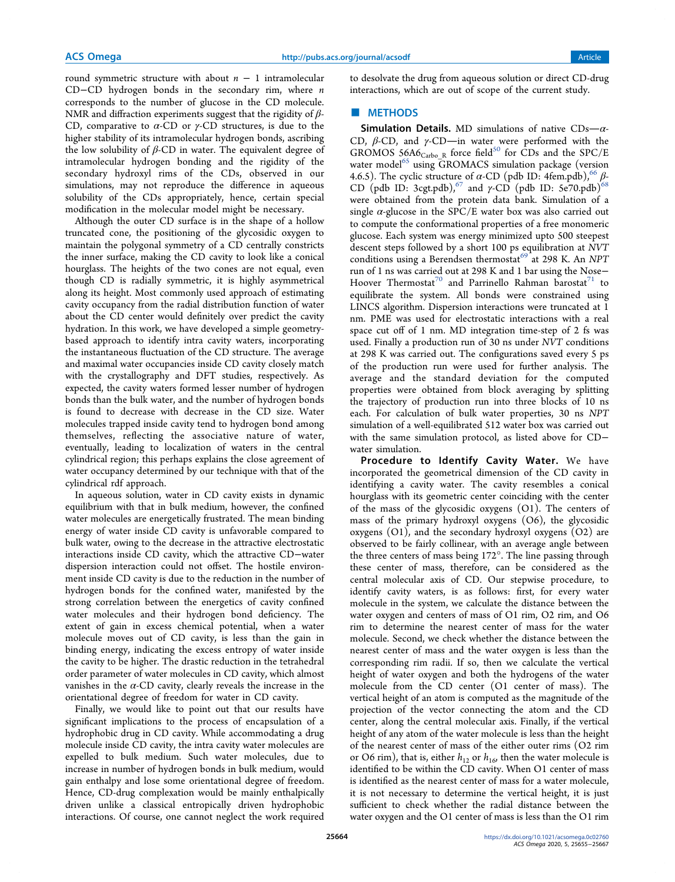round symmetric structure with about *n* − 1 intramolecular CD−CD hydrogen bonds in the secondary rim, where *n* corresponds to the number of glucose in the CD molecule. NMR and diffraction experiments suggest that the rigidity of  $\beta$ -CD, comparative to  $\alpha$ -CD or  $\gamma$ -CD structures, is due to the higher stability of its intramolecular hydrogen bonds, ascribing the low solubility of  $\beta$ -CD in water. The equivalent degree of intramolecular hydrogen bonding and the rigidity of the secondary hydroxyl rims of the CDs, observed in our simulations, may not reproduce the difference in aqueous solubility of the CDs appropriately, hence, certain special modification in the molecular model might be necessary.

Although the outer CD surface is in the shape of a hollow truncated cone, the positioning of the glycosidic oxygen to maintain the polygonal symmetry of a CD centrally constricts the inner surface, making the CD cavity to look like a conical hourglass. The heights of the two cones are not equal, even though CD is radially symmetric, it is highly asymmetrical along its height. Most commonly used approach of estimating cavity occupancy from the radial distribution function of water about the CD center would definitely over predict the cavity hydration. In this work, we have developed a simple geometrybased approach to identify intra cavity waters, incorporating the instantaneous fluctuation of the CD structure. The average and maximal water occupancies inside CD cavity closely match with the crystallography and DFT studies, respectively. As expected, the cavity waters formed lesser number of hydrogen bonds than the bulk water, and the number of hydrogen bonds is found to decrease with decrease in the CD size. Water molecules trapped inside cavity tend to hydrogen bond among themselves, reflecting the associative nature of water, eventually, leading to localization of waters in the central cylindrical region; this perhaps explains the close agreement of water occupancy determined by our technique with that of the cylindrical rdf approach.

In aqueous solution, water in CD cavity exists in dynamic equilibrium with that in bulk medium, however, the confined water molecules are energetically frustrated. The mean binding energy of water inside CD cavity is unfavorable compared to bulk water, owing to the decrease in the attractive electrostatic interactions inside CD cavity, which the attractive CD−water dispersion interaction could not offset. The hostile environment inside CD cavity is due to the reduction in the number of hydrogen bonds for the confined water, manifested by the strong correlation between the energetics of cavity confined water molecules and their hydrogen bond deficiency. The extent of gain in excess chemical potential, when a water molecule moves out of CD cavity, is less than the gain in binding energy, indicating the excess entropy of water inside the cavity to be higher. The drastic reduction in the tetrahedral order parameter of water molecules in CD cavity, which almost vanishes in the  $\alpha$ -CD cavity, clearly reveals the increase in the orientational degree of freedom for water in CD cavity.

Finally, we would like to point out that our results have significant implications to the process of encapsulation of a hydrophobic drug in CD cavity. While accommodating a drug molecule inside CD cavity, the intra cavity water molecules are expelled to bulk medium. Such water molecules, due to increase in number of hydrogen bonds in bulk medium, would gain enthalpy and lose some orientational degree of freedom. Hence, CD-drug complexation would be mainly enthalpically driven unlike a classical entropically driven hydrophobic interactions. Of course, one cannot neglect the work required to desolvate the drug from aqueous solution or direct CD-drug interactions, which are out of scope of the current study.

## **METHODS**

**Simulation Details.** MD simulations of native  $CDs-\alpha$ -CD,  $\beta$ -CD, and  $\gamma$ -CD-in water were performed with the GROMOS  $56A6_{\text{Carbo R}}$  force field<sup>50</sup> for CDs and the SPC/E water model<sup>65</sup> using GROMACS simulation package (version 4.6.5). The cyclic structure of  $\alpha$ -CD (pdb ID: 4fem.pdb),<sup>66</sup>  $\beta$ -CD (pdb ID: 3cgt.pdb),<sup>67</sup> and  $\gamma$ -CD (pdb ID: 5e70.pdb)<sup>68</sup> were obtained from the protein data bank. Simulation of a single  $\alpha$ -glucose in the SPC/E water box was also carried out to compute the conformational properties of a free monomeric glucose. Each system was energy minimized upto 500 steepest descent steps followed by a short 100 ps equilibration at *NVT* conditions using a Berendsen thermostat<sup>69</sup> at 298 K. An *NPT* run of 1 ns was carried out at 298 K and 1 bar using the Nose− Hoover Thermostat<sup>70</sup> and Parrinello Rahman barostat<sup>71</sup> to equilibrate the system. All bonds were constrained using LINCS algorithm. Dispersion interactions were truncated at 1 nm. PME was used for electrostatic interactions with a real space cut off of 1 nm. MD integration time-step of 2 fs was used. Finally a production run of 30 ns under *NVT* conditions at 298 K was carried out. The configurations saved every 5 ps of the production run were used for further analysis. The average and the standard deviation for the computed properties were obtained from block averaging by splitting the trajectory of production run into three blocks of 10 ns each. For calculation of bulk water properties, 30 ns *NPT* simulation of a well-equilibrated 512 water box was carried out with the same simulation protocol, as listed above for CD− water simulation.

Procedure to Identify Cavity Water. We have incorporated the geometrical dimension of the CD cavity in identifying a cavity water. The cavity resembles a conical hourglass with its geometric center coinciding with the center of the mass of the glycosidic oxygens (O1). The centers of mass of the primary hydroxyl oxygens (O6), the glycosidic oxygens (O1), and the secondary hydroxyl oxygens (O2) are observed to be fairly collinear, with an average angle between the three centers of mass being 172°. The line passing through these center of mass, therefore, can be considered as the central molecular axis of CD. Our stepwise procedure, to identify cavity waters, is as follows: first, for every water molecule in the system, we calculate the distance between the water oxygen and centers of mass of O1 rim, O2 rim, and O6 rim to determine the nearest center of mass for the water molecule. Second, we check whether the distance between the nearest center of mass and the water oxygen is less than the corresponding rim radii. If so, then we calculate the vertical height of water oxygen and both the hydrogens of the water molecule from the CD center (O1 center of mass). The vertical height of an atom is computed as the magnitude of the projection of the vector connecting the atom and the CD center, along the central molecular axis. Finally, if the vertical height of any atom of the water molecule is less than the height of the nearest center of mass of the either outer rims (O2 rim or O6 rim), that is, either  $h_{12}$  or  $h_{16}$ , then the water molecule is identified to be within the CD cavity. When O1 center of mass is identified as the nearest center of mass for a water molecule, it is not necessary to determine the vertical height, it is just sufficient to check whether the radial distance between the water oxygen and the O1 center of mass is less than the O1 rim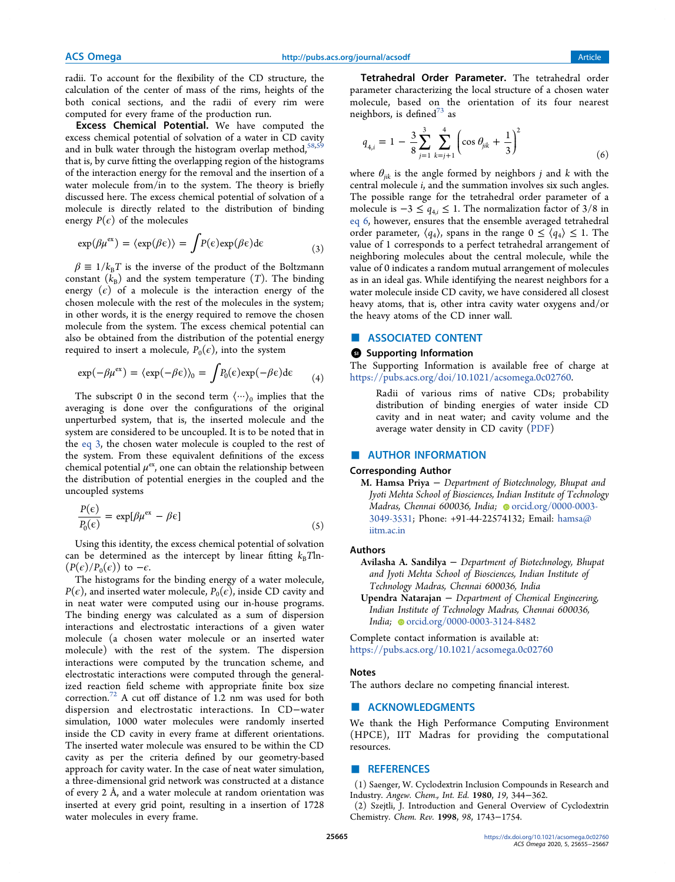radii. To account for the flexibility of the CD structure, the calculation of the center of mass of the rims, heights of the both conical sections, and the radii of every rim were computed for every frame of the production run.

Excess Chemical Potential. We have computed the excess chemical potential of solvation of a water in CD cavity and in bulk water through the histogram overlap method,  $58,59$ that is, by curve fitting the overlapping region of the histograms of the interaction energy for the removal and the insertion of a water molecule from/in to the system. The theory is briefly discussed here. The excess chemical potential of solvation of a molecule is directly related to the distribution of binding energy  $P(\epsilon)$  of the molecules

$$
\exp(\beta \mu^{\text{ex}}) = \langle \exp(\beta \epsilon) \rangle = \int P(\epsilon) \exp(\beta \epsilon) d\epsilon \tag{3}
$$

 $\beta \equiv 1/k_B T$  is the inverse of the product of the Boltzmann constant  $(k_B)$  and the system temperature  $(T)$ . The binding energy  $(\epsilon)$  of a molecule is the interaction energy of the chosen molecule with the rest of the molecules in the system; in other words, it is the energy required to remove the chosen molecule from the system. The excess chemical potential can also be obtained from the distribution of the potential energy required to insert a molecule,  $P_0(\epsilon)$ , into the system

$$
\exp(-\beta \mu^{\text{ex}}) = \langle \exp(-\beta \epsilon) \rangle_0 = \int P_0(\epsilon) \exp(-\beta \epsilon) d\epsilon \tag{4}
$$

The subscript 0 in the second term  $\langle \cdots \rangle_0$  implies that the averaging is done over the configurations of the original unperturbed system, that is, the inserted molecule and the system are considered to be uncoupled. It is to be noted that in the eq 3, the chosen water molecule is coupled to the rest of the system. From these equivalent definitions of the excess chemical potential  $\mu^\mathrm{ex}$ , one can obtain the relationship between the distribution of potential energies in the coupled and the uncoupled systems

$$
\frac{P(\epsilon)}{P_0(\epsilon)} = \exp[\beta \mu^{\epsilon x} - \beta \epsilon]
$$
\n(5)

Using this identity, the excess chemical potential of solvation can be determined as the intercept by linear fitting  $k_B T$ ln- $(P(\epsilon)/P_0(\epsilon))$  to  $-\epsilon$ .

The histograms for the binding energy of a water molecule,  $P(\epsilon)$ , and inserted water molecule,  $P_0(\epsilon)$ , inside CD cavity and in neat water were computed using our in-house programs. The binding energy was calculated as a sum of dispersion interactions and electrostatic interactions of a given water molecule (a chosen water molecule or an inserted water molecule) with the rest of the system. The dispersion interactions were computed by the truncation scheme, and electrostatic interactions were computed through the generalized reaction field scheme with appropriate finite box size correction.<sup>72</sup> A cut off distance of 1.2 nm was used for both dispersion and electrostatic interactions. In CD−water simulation, 1000 water molecules were randomly inserted inside the CD cavity in every frame at different orientations. The inserted water molecule was ensured to be within the CD cavity as per the criteria defined by our geometry-based approach for cavity water. In the case of neat water simulation, a three-dimensional grid network was constructed at a distance of every 2 Å, and a water molecule at random orientation was inserted at every grid point, resulting in a insertion of 1728 water molecules in every frame.

Tetrahedral Order Parameter. The tetrahedral order parameter characterizing the local structure of a chosen water molecule, based on the orientation of its four nearest neighbors, is defined $^{73}$  as

$$
q_{4,i} = 1 - \frac{3}{8} \sum_{j=1}^{3} \sum_{k=j+1}^{4} \left( \cos \theta_{jik} + \frac{1}{3} \right)^2 \tag{6}
$$

where  $\theta_{ijk}$  is the angle formed by neighbors *j* and *k* with the central molecule *i*, and the summation involves six such angles. The possible range for the tetrahedral order parameter of a molecule is  $-3 \le q_{4,i} \le 1$ . The normalization factor of 3/8 in eq 6, however, ensures that the ensemble averaged tetrahedral order parameter,  $\langle q_4 \rangle$ , spans in the range  $0 \leq \langle q_4 \rangle \leq 1$ . The value of 1 corresponds to a perfect tetrahedral arrangement of neighboring molecules about the central molecule, while the value of 0 indicates a random mutual arrangement of molecules as in an ideal gas. While identifying the nearest neighbors for a water molecule inside CD cavity, we have considered all closest heavy atoms, that is, other intra cavity water oxygens and/or the heavy atoms of the CD inner wall.

# ■ ASSOCIATED CONTENT

#### **9** Supporting Information

The Supporting Information is available free of charge at https://pubs.acs.org/doi/10.1021/acsomega.0c02760.

> Radii of various rims of native CDs; probability distribution of binding energies of water inside CD cavity and in neat water; and cavity volume and the average water density in CD cavity (PDF)

## ■ AUTHOR INFORMATION

## Corresponding Author

M. Hamsa Priya − Department of Biotechnology, Bhupat and Jyoti Mehta School of Biosciences, Indian Institute of Technology Madras, Chennai 600036, India; orcid.org/0000-0003-3049-3531; Phone: +91-44-22574132; Email: hamsa@ iitm ac in

## Authors

- Avilasha A. Sandilya − Department of Biotechnology, Bhupat and Jyoti Mehta School of Biosciences, Indian Institute of Technology Madras, Chennai 600036, India
- Upendra Natarajan − Department of Chemical Engineering, Indian Institute of Technology Madras, Chennai 600036, India; orcid.org/0000-0003-3124-8482

Complete contact information is available at: https://pubs.acs.org/10.1021/acsomega.0c02760

#### Notes

The authors declare no competing financial interest.

## ■ ACKNOWLEDGMENTS

We thank the High Performance Computing Environment (HPCE), IIT Madras for providing the computational resources.

#### ■ REFERENCES

(1) Saenger, W. Cyclodextrin Inclusion Compounds in Research and Industry. *Angew. Chem., Int. Ed.* 1980, *19*, 344−362.

(2) Szejtli, J. Introduction and General Overview of Cyclodextrin Chemistry. *Chem. Rev.* 1998, *98*, 1743−1754.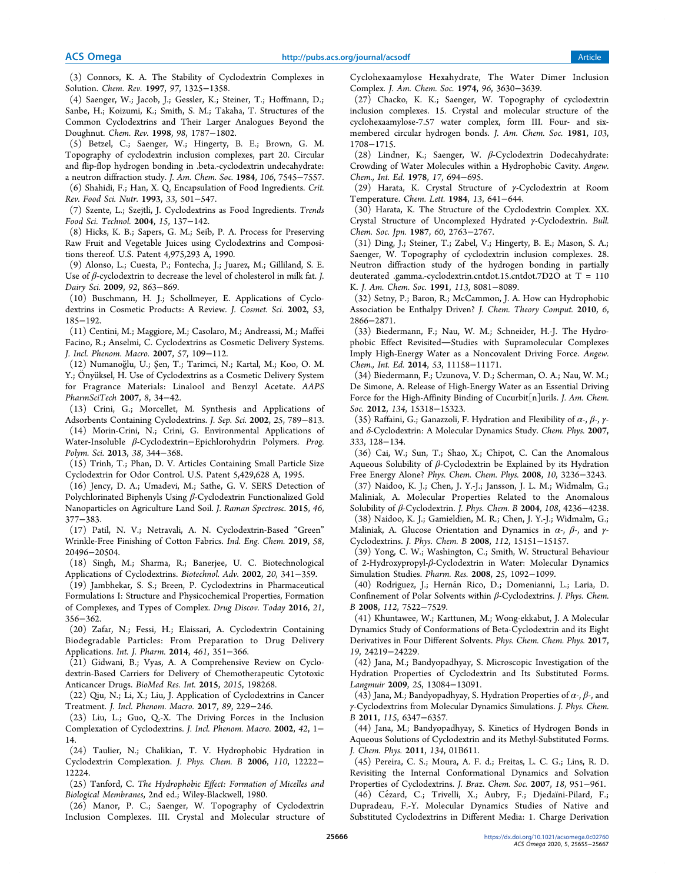(3) Connors, K. A. The Stability of Cyclodextrin Complexes in Solution. *Chem. Rev.* 1997, *97*, 1325−1358.

(4) Saenger, W.; Jacob, J.; Gessler, K.; Steiner, T.; Hoffmann, D.; Sanbe, H.; Koizumi, K.; Smith, S. M.; Takaha, T. Structures of the Common Cyclodextrins and Their Larger Analogues Beyond the Doughnut. *Chem. Rev.* 1998, *98*, 1787−1802.

(5) Betzel, C.; Saenger, W.; Hingerty, B. E.; Brown, G. M. Topography of cyclodextrin inclusion complexes, part 20. Circular and flip-flop hydrogen bonding in .beta.-cyclodextrin undecahydrate: a neutron diffraction study. *J. Am. Chem. Soc.* 1984, *106*, 7545−7557.

(6) Shahidi, F.; Han, X. Q. Encapsulation of Food Ingredients. *Crit. Rev. Food Sci. Nutr.* 1993, *33*, 501−547.

(7) Szente, L.; Szejtli, J. Cyclodextrins as Food Ingredients. *Trends Food Sci. Technol.* 2004, *15*, 137−142.

(8) Hicks, K. B.; Sapers, G. M.; Seib, P. A. Process for Preserving Raw Fruit and Vegetable Juices using Cyclodextrins and Compositions thereof. U.S. Patent 4,975,293 A, 1990.

(9) Alonso, L.; Cuesta, P.; Fontecha, J.; Juarez, M.; Gilliland, S. E. Use of β-cyclodextrin to decrease the level of cholesterol in milk fat. *J. Dairy Sci.* 2009, *92*, 863−869.

(10) Buschmann, H. J.; Schollmeyer, E. Applications of Cyclodextrins in Cosmetic Products: A Review. *J. Cosmet. Sci.* 2002, *53*, 185−192.

(11) Centini, M.; Maggiore, M.; Casolaro, M.; Andreassi, M.; Maffei Facino, R.; Anselmi, C. Cyclodextrins as Cosmetic Delivery Systems. *J. Incl. Phenom. Macro.* 2007, *57*, 109−112.

(12) Numanoğlu, U.; Şen, T.; Tarimci, N.; Kartal, M.; Koo, O. M. Y.; Onyüksel, H. Use of Cyclodextrins as a Cosmetic Delivery System for Fragrance Materials: Linalool and Benzyl Acetate. *AAPS PharmSciTech* 2007, *8*, 34−42.

(13) Crini, G.; Morcellet, M. Synthesis and Applications of Adsorbents Containing Cyclodextrins. *J. Sep. Sci.* 2002, *25*, 789−813.

(14) Morin-Crini, N.; Crini, G. Environmental Applications of Water-Insoluble β-Cyclodextrin−Epichlorohydrin Polymers. *Prog. Polym. Sci.* 2013, *38*, 344−368.

(15) Trinh, T.; Phan, D. V. Articles Containing Small Particle Size Cyclodextrin for Odor Control. U.S. Patent 5,429,628 A, 1995.

(16) Jency, D. A.; Umadevi, M.; Sathe, G. V. SERS Detection of Polychlorinated Biphenyls Using β-Cyclodextrin Functionalized Gold Nanoparticles on Agriculture Land Soil. *J. Raman Spectrosc.* 2015, *46*, 377−383.

(17) Patil, N. V.; Netravali, A. N. Cyclodextrin-Based "Green" Wrinkle-Free Finishing of Cotton Fabrics. *Ind. Eng. Chem.* 2019, *58*, 20496−20504.

(18) Singh, M.; Sharma, R.; Banerjee, U. C. Biotechnological Applications of Cyclodextrins. *Biotechnol. Adv.* 2002, *20*, 341−359.

(19) Jambhekar, S. S.; Breen, P. Cyclodextrins in Pharmaceutical Formulations I: Structure and Physicochemical Properties, Formation of Complexes, and Types of Complex. *Drug Discov. Today* 2016, *21*, 356−362.

(20) Zafar, N.; Fessi, H.; Elaissari, A. Cyclodextrin Containing Biodegradable Particles: From Preparation to Drug Delivery Applications. *Int. J. Pharm.* 2014, *461*, 351−366.

(21) Gidwani, B.; Vyas, A. A Comprehensive Review on Cyclodextrin-Based Carriers for Delivery of Chemotherapeutic Cytotoxic Anticancer Drugs. *BioMed Res. Int.* 2015, *2015*, 198268.

(22) Qiu, N.; Li, X.; Liu, J. Application of Cyclodextrins in Cancer Treatment. *J. Incl. Phenom. Macro.* 2017, *89*, 229−246.

(23) Liu, L.; Guo, Q.-X. The Driving Forces in the Inclusion Complexation of Cyclodextrins. *J. Incl. Phenom. Macro.* 2002, *42*, 1− 14.

(24) Taulier, N.; Chalikian, T. V. Hydrophobic Hydration in Cyclodextrin Complexation. *J. Phys. Chem. B* 2006, *110*, 12222− 12224.

(25) Tanford, C. *The Hydrophobic E*ff*ect: Formation of Micelles and Biological Membranes*, 2nd ed.; Wiley-Blackwell, 1980.

(26) Manor, P. C.; Saenger, W. Topography of Cyclodextrin Inclusion Complexes. III. Crystal and Molecular structure of Cyclohexaamylose Hexahydrate, The Water Dimer Inclusion Complex. *J. Am. Chem. Soc.* 1974, *96*, 3630−3639.

(27) Chacko, K. K.; Saenger, W. Topography of cyclodextrin inclusion complexes. 15. Crystal and molecular structure of the cyclohexaamylose-7.57 water complex, form III. Four- and sixmembered circular hydrogen bonds. *J. Am. Chem. Soc.* 1981, *103*, 1708−1715.

(28) Lindner, K.; Saenger, W. β-Cyclodextrin Dodecahydrate: Crowding of Water Molecules within a Hydrophobic Cavity. *Angew. Chem., Int. Ed.* 1978, *17*, 694−695.

(29) Harata, K. Crystal Structure of γ-Cyclodextrin at Room Temperature. *Chem. Lett.* 1984, *13*, 641−644.

(30) Harata, K. The Structure of the Cyclodextrin Complex. XX. Crystal Structure of Uncomplexed Hydrated γ-Cyclodextrin. *Bull. Chem. Soc. Jpn.* 1987, *60*, 2763−2767.

(31) Ding, J.; Steiner, T.; Zabel, V.; Hingerty, B. E.; Mason, S. A.; Saenger, W. Topography of cyclodextrin inclusion complexes. 28. Neutron diffraction study of the hydrogen bonding in partially deuterated .gamma.-cyclodextrin.cntdot.15.cntdot.7D2O at T = 110 K. *J. Am. Chem. Soc.* 1991, *113*, 8081−8089.

(32) Setny, P.; Baron, R.; McCammon, J. A. How can Hydrophobic Association be Enthalpy Driven? *J. Chem. Theory Comput.* 2010, *6*, 2866−2871.

(33) Biedermann, F.; Nau, W. M.; Schneider, H.-J. The Hydrophobic Effect Revisited-Studies with Supramolecular Complexes Imply High-Energy Water as a Noncovalent Driving Force. *Angew. Chem., Int. Ed.* 2014, *53*, 11158−11171.

(34) Biedermann, F.; Uzunova, V. D.; Scherman, O. A.; Nau, W. M.; De Simone, A. Release of High-Energy Water as an Essential Driving Force for the High-Affinity Binding of Cucurbit[n]urils. *J. Am. Chem. Soc.* 2012, *134*, 15318−15323.

(35) Raffaini, G.; Ganazzoli, F. Hydration and Flexibility of  $\alpha$ -,  $\beta$ -,  $\gamma$ and δ-Cyclodextrin: A Molecular Dynamics Study. *Chem. Phys.* 2007, *333*, 128−134.

(36) Cai, W.; Sun, T.; Shao, X.; Chipot, C. Can the Anomalous Aqueous Solubility of β-Cyclodextrin be Explained by its Hydration Free Energy Alone? *Phys. Chem. Chem. Phys.* 2008, *10*, 3236−3243.

(37) Naidoo, K. J.; Chen, J. Y.-J.; Jansson, J. L. M.; Widmalm, G.; Maliniak, A. Molecular Properties Related to the Anomalous Solubility of β-Cyclodextrin. *J. Phys. Chem. B* 2004, *108*, 4236−4238. (38) Naidoo, K. J.; Gamieldien, M. R.; Chen, J. Y.-J.; Widmalm, G.; Maliniak, A. Glucose Orientation and Dynamics in  $\alpha$ -,  $\beta$ -, and  $\gamma$ -

Cyclodextrins. *J. Phys. Chem. B* 2008, *112*, 15151−15157. (39) Yong, C. W.; Washington, C.; Smith, W. Structural Behaviour of 2-Hydroxypropyl-β-Cyclodextrin in Water: Molecular Dynamics

Simulation Studies. *Pharm. Res.* 2008, *25*, 1092−1099. (40) Rodriguez, J.; Hernán Rico, D.; Domenianni, L.; Laria, D.

Confinement of Polar Solvents within β-Cyclodextrins. *J. Phys. Chem. B* 2008, *112*, 7522−7529.

(41) Khuntawee, W.; Karttunen, M.; Wong-ekkabut, J. A Molecular Dynamics Study of Conformations of Beta-Cyclodextrin and its Eight Derivatives in Four Different Solvents. *Phys. Chem. Chem. Phys.* 2017, *19*, 24219−24229.

(42) Jana, M.; Bandyopadhyay, S. Microscopic Investigation of the Hydration Properties of Cyclodextrin and Its Substituted Forms. *Langmuir* 2009, *25*, 13084−13091.

(43) Jana, M.; Bandyopadhyay, S. Hydration Properties of  $\alpha$ -,  $\beta$ -, and γ-Cyclodextrins from Molecular Dynamics Simulations. *J. Phys. Chem. B* 2011, *115*, 6347−6357.

(44) Jana, M.; Bandyopadhyay, S. Kinetics of Hydrogen Bonds in Aqueous Solutions of Cyclodextrin and its Methyl-Substituted Forms. *J. Chem. Phys.* 2011, *134*, 01B611.

(45) Pereira, C. S.; Moura, A. F. d.; Freitas, L. C. G.; Lins, R. D. Revisiting the Internal Conformational Dynamics and Solvation Properties of Cyclodextrins. *J. Braz. Chem. Soc.* 2007, *18*, 951−961.

(46) Cézard, C.; Trivelli, X.; Aubry, F.; Djedaïni-Pilard, F.; Dupradeau, F.-Y. Molecular Dynamics Studies of Native and Substituted Cyclodextrins in Different Media: 1. Charge Derivation